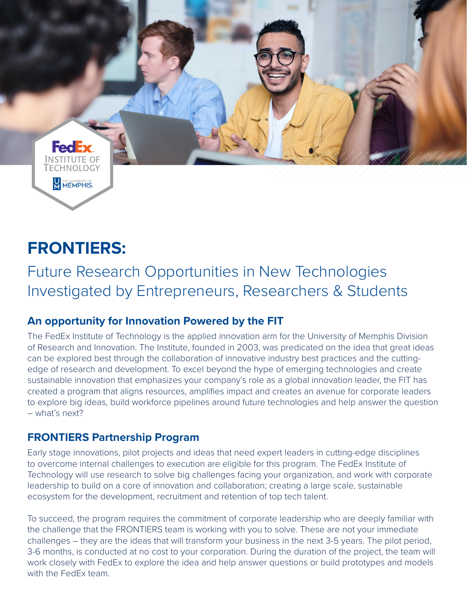

# **FRONTIERS:**

Future Research Opportunities in New Technologies Investigated by Entrepreneurs, Researchers & Students

## **An opportunity for Innovation Powered by the FIT**

The FedEx Institute of Technology is the applied innovation arm for the University of Memphis Division of Research and Innovation. The Institute, founded in 2003, was predicated on the idea that great ideas can be explored best through the collaboration of innovative industry best practices and the cuttingedge of research and development. To excel beyond the hype of emerging technologies and create sustainable innovation that emphasizes your company's role as a global innovation leader, the FIT has created a program that aligns resources, amplifies impact and creates an avenue for corporate leaders to explore big ideas, build workforce pipelines around future technologies and help answer the question – what's next?

#### **FRONTIERS Partnership Program**

Early stage innovations, pilot projects and ideas that need expert leaders in cutting-edge disciplines to overcome internal challenges to execution are eligible for this program. The FedEx Institute of Technology will use research to solve big challenges facing your organization, and work with corporate leadership to build on a core of innovation and collaboration; creating a large scale, sustainable ecosystem for the development, recruitment and retention of top tech talent.

To succeed, the program requires the commitment of corporate leadership who are deeply familiar with the challenge that the FRONTIERS team is working with you to solve. These are not your immediate challenges – they are the ideas that will transform your business in the next 3-5 years. The pilot period, 3-6 months, is conducted at no cost to your corporation. During the duration of the project, the team will work closely with FedEx to explore the idea and help answer questions or build prototypes and models with the FedEx team.